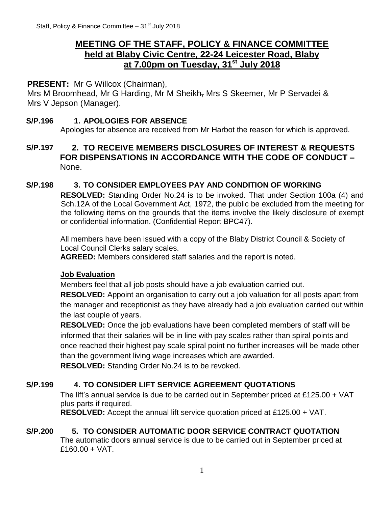# **MEETING OF THE STAFF, POLICY & FINANCE COMMITTEE held at Blaby Civic Centre, 22-24 Leicester Road, Blaby at 7.00pm on Tuesday, 31st July 2018**

# **PRESENT:** Mr G Willcox (Chairman),

Mrs M Broomhead, Mr G Harding, Mr M Sheikh, Mrs S Skeemer, Mr P Servadei & Mrs V Jepson (Manager).

### **S/P.196 1. APOLOGIES FOR ABSENCE**

Apologies for absence are received from Mr Harbot the reason for which is approved.

# **S/P.197 2. TO RECEIVE MEMBERS DISCLOSURES OF INTEREST & REQUESTS FOR DISPENSATIONS IN ACCORDANCE WITH THE CODE OF CONDUCT –** None.

### **S/P.198 3. TO CONSIDER EMPLOYEES PAY AND CONDITION OF WORKING**

**RESOLVED:** Standing Order No.24 is to be invoked. That under Section 100a (4) and Sch.12A of the Local Government Act, 1972, the public be excluded from the meeting for the following items on the grounds that the items involve the likely disclosure of exempt or confidential information. (Confidential Report BPC47).

All members have been issued with a copy of the Blaby District Council & Society of Local Council Clerks salary scales.

**AGREED:** Members considered staff salaries and the report is noted.

# **Job Evaluation**

Members feel that all job posts should have a job evaluation carried out.

**RESOLVED:** Appoint an organisation to carry out a job valuation for all posts apart from the manager and receptionist as they have already had a job evaluation carried out within the last couple of years.

**RESOLVED:** Once the job evaluations have been completed members of staff will be informed that their salaries will be in line with pay scales rather than spiral points and once reached their highest pay scale spiral point no further increases will be made other than the government living wage increases which are awarded.

**RESOLVED:** Standing Order No.24 is to be revoked.

# **S/P.199 4. TO CONSIDER LIFT SERVICE AGREEMENT QUOTATIONS**

The lift's annual service is due to be carried out in September priced at £125.00 + VAT plus parts if required.

**RESOLVED:** Accept the annual lift service quotation priced at £125.00 + VAT.

# **S/P.200 5. TO CONSIDER AUTOMATIC DOOR SERVICE CONTRACT QUOTATION**

The automatic doors annual service is due to be carried out in September priced at £160.00 + VAT.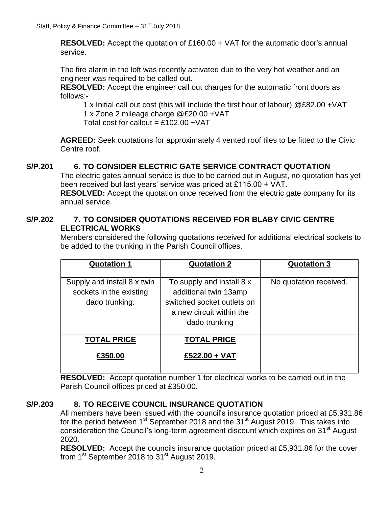**RESOLVED:** Accept the quotation of £160.00 + VAT for the automatic door's annual service.

The fire alarm in the loft was recently activated due to the very hot weather and an engineer was required to be called out.

**RESOLVED:** Accept the engineer call out charges for the automatic front doors as follows:-

1 x Initial call out cost (this will include the first hour of labour) @£82.00 +VAT 1 x Zone 2 mileage charge @£20.00 +VAT

Total cost for callout =  $£102.00 + VAT$ 

**AGREED:** Seek quotations for approximately 4 vented roof tiles to be fitted to the Civic Centre roof.

# **S/P.201 6. TO CONSIDER ELECTRIC GATE SERVICE CONTRACT QUOTATION**

The electric gates annual service is due to be carried out in August, no quotation has yet been received but last years' service was priced at £115.00 + VAT.

**RESOLVED:** Accept the quotation once received from the electric gate company for its annual service.

# **S/P.202 7. TO CONSIDER QUOTATIONS RECEIVED FOR BLABY CIVIC CENTRE ELECTRICAL WORKS**

Members considered the following quotations received for additional electrical sockets to be added to the trunking in the Parish Council offices.

| <b>Quotation 1</b>                                                       | <b>Quotation 2</b>                                                                                                            | <b>Quotation 3</b>     |
|--------------------------------------------------------------------------|-------------------------------------------------------------------------------------------------------------------------------|------------------------|
| Supply and install 8 x twin<br>sockets in the existing<br>dado trunking. | To supply and install 8 x<br>additional twin 13amp<br>switched socket outlets on<br>a new circuit within the<br>dado trunking | No quotation received. |
| <b>TOTAL PRICE</b>                                                       | <b>TOTAL PRICE</b>                                                                                                            |                        |
| £350.00                                                                  | £522.00 + VAT                                                                                                                 |                        |

**RESOLVED:** Accept quotation number 1 for electrical works to be carried out in the Parish Council offices priced at £350.00.

# **S/P.203 8. TO RECEIVE COUNCIL INSURANCE QUOTATION**

All members have been issued with the council's insurance quotation priced at £5,931.86 for the period between 1<sup>st</sup> September 2018 and the 31<sup>st</sup> August 2019. This takes into consideration the Council's long-term agreement discount which expires on 31<sup>st</sup> August 2020.

**RESOLVED:** Accept the councils insurance quotation priced at £5,931.86 for the cover from 1<sup>st</sup> September 2018 to 31<sup>st</sup> August 2019.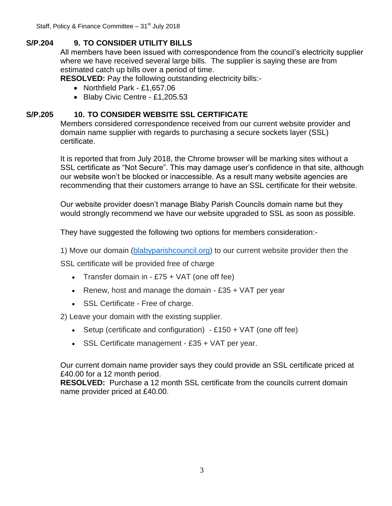Staff, Policy & Finance Committee  $-31<sup>st</sup>$  July 2018

# **S/P.204 9. TO CONSIDER UTILITY BILLS**

All members have been issued with correspondence from the council's electricity supplier where we have received several large bills. The supplier is saying these are from estimated catch up bills over a period of time.

**RESOLVED:** Pay the following outstanding electricity bills:-

- Northfield Park £1,657.06
- Blaby Civic Centre £1,205.53

### **S/P.205 10. TO CONSIDER WEBSITE SSL CERTIFICATE**

Members considered correspondence received from our current website provider and domain name supplier with regards to purchasing a secure sockets layer (SSL) certificate.

It is reported that from July 2018, the Chrome browser will be marking sites without a SSL certificate as "Not Secure". This may damage user's confidence in that site, although our website won't be blocked or inaccessible. As a result many website agencies are recommending that their customers arrange to have an SSL certificate for their website.

Our website provider doesn't manage Blaby Parish Councils domain name but they would strongly recommend we have our website upgraded to SSL as soon as possible.

They have suggested the following two options for members consideration:-

1) Move our domain [\(blabyparishcouncil.org\)](http://www.blabyparishcouncil.org/) to our current website provider then the

SSL certificate will be provided free of charge

- Transfer domain in  $-E75 + VAT$  (one off fee)
- Exercise. Renew, host and manage the domain  $£35 + VAT$  per year
- SSL Certificate Free of charge.

2) Leave your domain with the existing supplier.

- Setup (certificate and configuration)  $-2150 + \sqrt{AT}$  (one off fee)
- SSL Certificate management £35 + VAT per year.

Our current domain name provider says they could provide an SSL certificate priced at £40.00 for a 12 month period.

**RESOLVED:** Purchase a 12 month SSL certificate from the councils current domain name provider priced at £40.00.